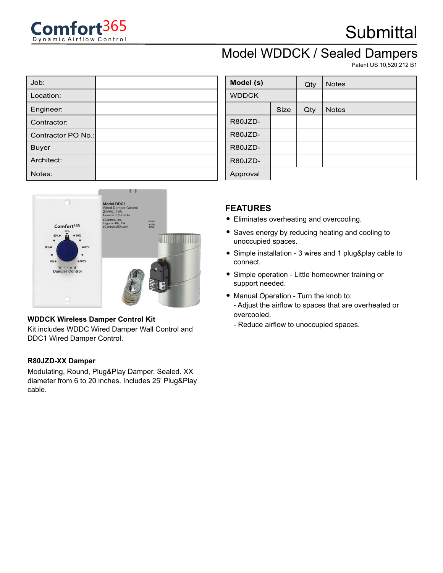

## **Submittal**

### Model WDDCK / Sealed Dampers

Patent US 10,520,212 B1

| Job:               |  |
|--------------------|--|
| Location:          |  |
| Engineer:          |  |
| Contractor:        |  |
| Contractor PO No.: |  |
| <b>Buyer</b>       |  |
| Architect:         |  |
| Notes:             |  |



#### **WDDCK Wireless Damper Control Kit**

Kit includes WDDC Wired Damper Wall Control and DDC1 Wired Damper Control.

#### **R80JZD-XX Damper**

Modulating, Round, Plug&Play Damper. Sealed. XX diameter from 6 to 20 inches. Includes 25' Plug&Play cable.

| Model (s)    |             | Qty | <b>Notes</b> |
|--------------|-------------|-----|--------------|
| <b>WDDCK</b> |             |     |              |
|              | <b>Size</b> | Qty | <b>Notes</b> |
| R80JZD-      |             |     |              |
| R80JZD-      |             |     |              |
| R80JZD-      |             |     |              |
| R80JZD-      |             |     |              |
| Approval     |             |     |              |

### **FEATURES**

- Eliminates overheating and overcooling.
- Saves energy by reducing heating and cooling to unoccupied spaces.
- Simple installation 3 wires and 1 plug&play cable to connect.
- Simple operation Little homeowner training or support needed.
- Manual Operation Turn the knob to:
	- Adjust the airflow to spaces that are overheated or overcooled.
	- Reduce airflow to unoccupied spaces.